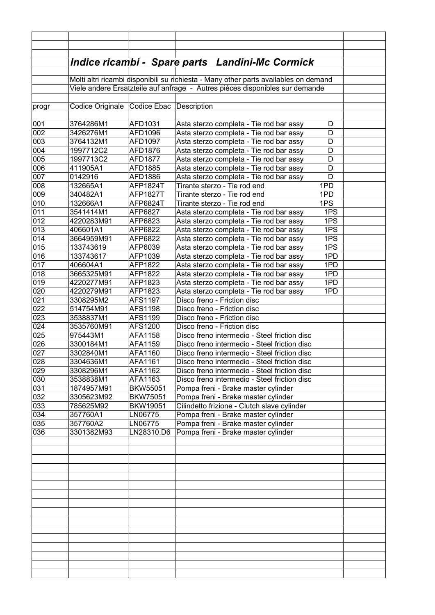|       |                                          |                 | <u> Indice ricambi - Spare parts Landini-Mc Cormick</u>                              |  |
|-------|------------------------------------------|-----------------|--------------------------------------------------------------------------------------|--|
|       |                                          |                 |                                                                                      |  |
|       |                                          |                 | Molti altri ricambi disponibili su richiesta - Many other parts availables on demand |  |
|       |                                          |                 | Viele andere Ersatzteile auf anfrage - Autres pièces disponibles sur demande         |  |
|       |                                          |                 |                                                                                      |  |
| progr | Codice Originale Codice Ebac Description |                 |                                                                                      |  |
|       |                                          |                 |                                                                                      |  |
| 001   | 3764286M1                                | AFD1031         | Asta sterzo completa - Tie rod bar assy<br>D                                         |  |
| 002   | 3426276M1                                | AFD1096         | Asta sterzo completa - Tie rod bar assy<br>D                                         |  |
| 003   | 3764132M1                                | AFD1097         | D<br>Asta sterzo completa - Tie rod bar assy                                         |  |
| 004   | 1997712C2                                | AFD1876         | D<br>Asta sterzo completa - Tie rod bar assy                                         |  |
| 005   | 1997713C2                                | AFD1877         | Asta sterzo completa - Tie rod bar assy<br>D                                         |  |
| 006   | 411905A1                                 | AFD1885         | D<br>Asta sterzo completa - Tie rod bar assy                                         |  |
| 007   | 0142916                                  | AFD1886         | D<br>Asta sterzo completa - Tie rod bar assy                                         |  |
| 008   | 132665A1                                 | <b>AFP1824T</b> | 1PD<br>Tirante sterzo - Tie rod end                                                  |  |
| 009   | 340482A1                                 | <b>AFP1827T</b> | Tirante sterzo - Tie rod end<br>1PD                                                  |  |
| 010   | 132666A1                                 | AFP6824T        | 1PS<br>Tirante sterzo - Tie rod end                                                  |  |
| 011   | 3541414M1                                | AFP6827         | 1PS<br>Asta sterzo completa - Tie rod bar assy                                       |  |
| 012   | 4220283M91                               | AFP6823         | 1PS<br>Asta sterzo completa - Tie rod bar assy                                       |  |
| 013   | 406601A1                                 | AFP6822         | 1PS<br>Asta sterzo completa - Tie rod bar assy                                       |  |
| 014   | 3664959M91                               | AFP6822         | Asta sterzo completa - Tie rod bar assy<br>1PS                                       |  |
| 015   | 133743619                                | AFP6039         | 1PS<br>Asta sterzo completa - Tie rod bar assy                                       |  |
| 016   | 133743617                                | AFP1039         | 1PD<br>Asta sterzo completa - Tie rod bar assy                                       |  |
| 017   | 406604A1                                 | AFP1822         | 1PD<br>Asta sterzo completa - Tie rod bar assy                                       |  |
| 018   | 3665325M91                               | AFP1822         | 1PD<br>Asta sterzo completa - Tie rod bar assy                                       |  |
| 019   | 4220277M91                               | AFP1823         | 1PD<br>Asta sterzo completa - Tie rod bar assy                                       |  |
| 020   | 4220279M91                               | AFP1823         | 1PD<br>Asta sterzo completa - Tie rod bar assy                                       |  |
| 021   | 3308295M2                                | AFS1197         | Disco freno - Friction disc                                                          |  |
| 022   | 514754M91                                | AFS1198         | Disco freno - Friction disc                                                          |  |
| 023   | 3538837M1                                | AFS1199         | Disco freno - Friction disc                                                          |  |
| 024   | 3535760M91                               | AFS1200         | Disco freno - Friction disc                                                          |  |
| 025   | 975443M1                                 | AFA1158         | Disco freno intermedio - Steel friction disc                                         |  |
| 026   | 3300184M1                                | AFA1159         | Disco freno intermedio - Steel friction disc                                         |  |
| 027   | 3302840M1                                | AFA1160         | Disco freno intermedio - Steel friction disc                                         |  |
| 028   | 3304636M1                                | AFA1161         | Disco freno intermedio - Steel friction disc                                         |  |
| 029   | 3308296M1                                | AFA1162         | Disco freno intermedio - Steel friction disc                                         |  |
| 030   | 3538838M1                                | AFA1163         | Disco freno intermedio - Steel friction disc                                         |  |
| 031   | 1874957M91                               | <b>BKW55051</b> | Pompa freni - Brake master cylinder                                                  |  |
| 032   | 3305623M92                               | <b>BKW75051</b> | Pompa freni - Brake master cylinder                                                  |  |
| 033   | 785625M92                                | BKW19051        | Cilindetto frizione - Clutch slave cylinder                                          |  |
| 034   | 357760A1                                 | LN06775         | Pompa freni - Brake master cylinder                                                  |  |
| 035   | 357760A2                                 | LN06775         | Pompa freni - Brake master cylinder                                                  |  |
| 036   | 3301382M93                               | LN28310.D6      | Pompa freni - Brake master cylinder                                                  |  |
|       |                                          |                 |                                                                                      |  |
|       |                                          |                 |                                                                                      |  |
|       |                                          |                 |                                                                                      |  |
|       |                                          |                 |                                                                                      |  |
|       |                                          |                 |                                                                                      |  |
|       |                                          |                 |                                                                                      |  |
|       |                                          |                 |                                                                                      |  |
|       |                                          |                 |                                                                                      |  |
|       |                                          |                 |                                                                                      |  |
|       |                                          |                 |                                                                                      |  |
|       |                                          |                 |                                                                                      |  |
|       |                                          |                 |                                                                                      |  |
|       |                                          |                 |                                                                                      |  |
|       |                                          |                 |                                                                                      |  |
|       |                                          |                 |                                                                                      |  |
|       |                                          |                 |                                                                                      |  |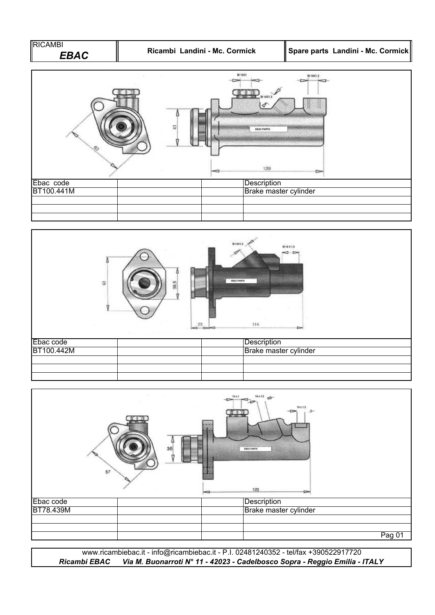





*Ricambi EBAC Via M. Buonarroti N° 11 - 42023 - Cadelbosco Sopra - Reggio Emilia - ITALY* www.ricambiebac.it - info@ricambiebac.it - P.I. 02481240352 - tel/fax +390522917720